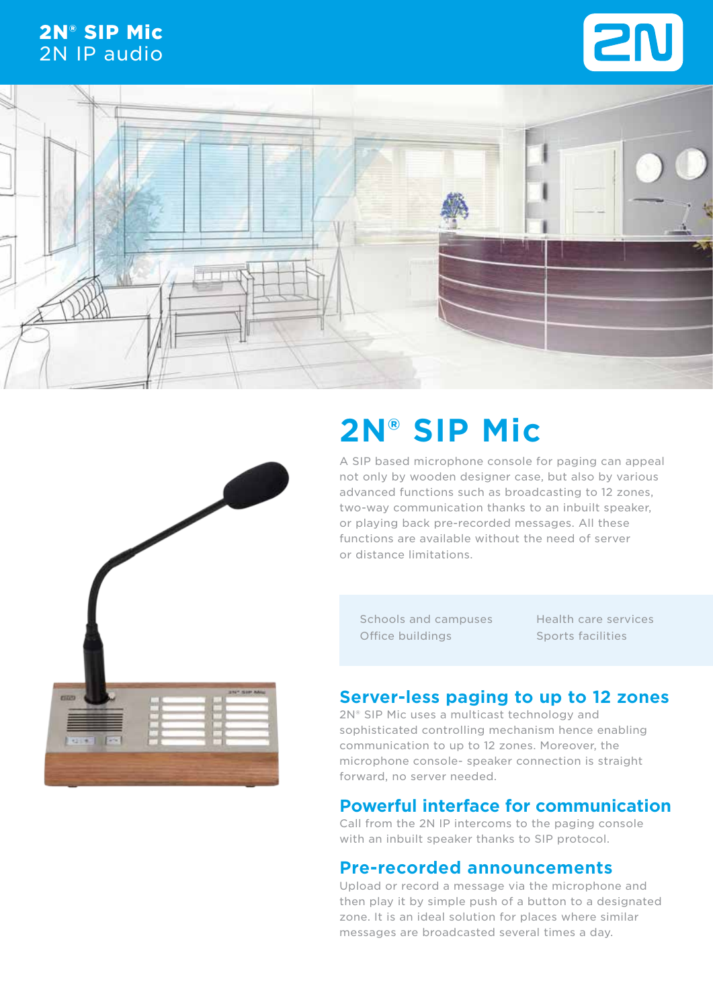# 2N® SIP Mic 2N IP audio







# **2N® SIP Mic**

A SIP based microphone console for paging can appeal not only by wooden designer case, but also by various advanced functions such as broadcasting to 12 zones, two-way communication thanks to an inbuilt speaker, or playing back pre-recorded messages. All these functions are available without the need of server or distance limitations.

Schools and campuses Office buildings

Health care services Sports facilities

## **Server-less paging to up to 12 zones**

2N<sup>®</sup> SIP Mic uses a multicast technology and sophisticated controlling mechanism hence enabling communication to up to 12 zones. Moreover, the microphone console- speaker connection is straight forward, no server needed.

## **Powerful interface for communication**

Call from the 2N IP intercoms to the paging console with an inbuilt speaker thanks to SIP protocol.

## **Pre-recorded announcements**

Upload or record a message via the microphone and then play it by simple push of a button to a designated zone. It is an ideal solution for places where similar messages are broadcasted several times a day.